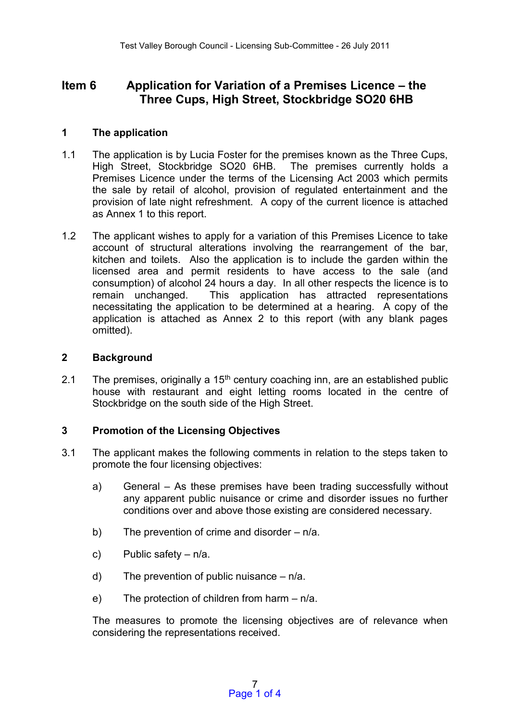# **Item 6 Application for Variation of a Premises Licence – the Three Cups, High Street, Stockbridge SO20 6HB**

# **1 The application**

- 1.1 The application is by Lucia Foster for the premises known as the Three Cups, High Street, Stockbridge SO20 6HB. The premises currently holds a Premises Licence under the terms of the Licensing Act 2003 which permits the sale by retail of alcohol, provision of regulated entertainment and the provision of late night refreshment. A copy of the current licence is attached as Annex 1 to this report.
- 1.2 The applicant wishes to apply for a variation of this Premises Licence to take account of structural alterations involving the rearrangement of the bar, kitchen and toilets. Also the application is to include the garden within the licensed area and permit residents to have access to the sale (and consumption) of alcohol 24 hours a day. In all other respects the licence is to remain unchanged. This application has attracted representations necessitating the application to be determined at a hearing. A copy of the application is attached as Annex 2 to this report (with any blank pages omitted).

## **2 Background**

2.1 The premises, originally a  $15<sup>th</sup>$  century coaching inn, are an established public house with restaurant and eight letting rooms located in the centre of Stockbridge on the south side of the High Street.

## **3 Promotion of the Licensing Objectives**

- 3.1 The applicant makes the following comments in relation to the steps taken to promote the four licensing objectives:
	- a) General As these premises have been trading successfully without any apparent public nuisance or crime and disorder issues no further conditions over and above those existing are considered necessary.
	- b) The prevention of crime and disorder  $n/a$ .
	- c) Public safety n/a.
	- d) The prevention of public nuisance  $n/a$ .
	- e) The protection of children from harm n/a.

The measures to promote the licensing objectives are of relevance when considering the representations received.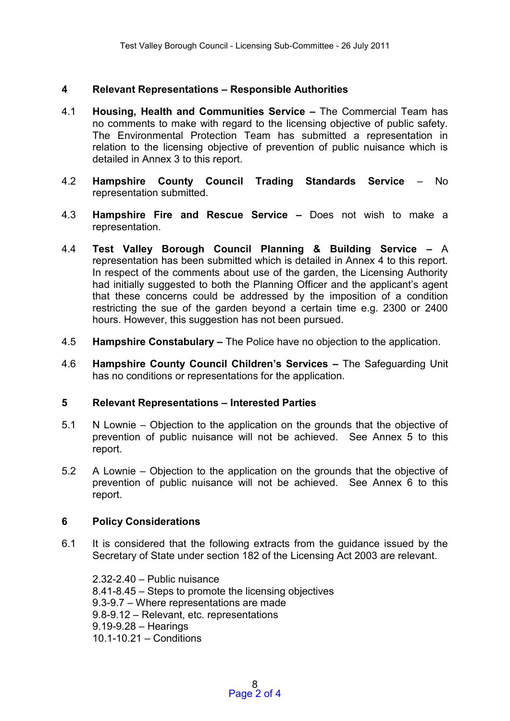## **4 Relevant Representations – Responsible Authorities**

- 4.1 **Housing, Health and Communities Service –** The Commercial Team has no comments to make with regard to the licensing objective of public safety. The Environmental Protection Team has submitted a representation in relation to the licensing objective of prevention of public nuisance which is detailed in Annex 3 to this report.
- 4.2 **Hampshire County Council Trading Standards Service** No representation submitted.
- 4.3 **Hampshire Fire and Rescue Service –** Does not wish to make a representation.
- 4.4 **Test Valley Borough Council Planning & Building Service –** A representation has been submitted which is detailed in Annex 4 to this report. In respect of the comments about use of the garden, the Licensing Authority had initially suggested to both the Planning Officer and the applicant's agent that these concerns could be addressed by the imposition of a condition restricting the sue of the garden beyond a certain time e.g. 2300 or 2400 hours. However, this suggestion has not been pursued.
- 4.5 **Hampshire Constabulary –** The Police have no objection to the application.
- 4.6 **Hampshire County Council Children's Services –** The Safeguarding Unit has no conditions or representations for the application.

#### **5 Relevant Representations – Interested Parties**

- 5.1 N Lownie Objection to the application on the grounds that the objective of prevention of public nuisance will not be achieved. See Annex 5 to this report.
- 5.2 A Lownie Objection to the application on the grounds that the objective of prevention of public nuisance will not be achieved. See Annex 6 to this report.

## **6 Policy Considerations**

6.1 It is considered that the following extracts from the guidance issued by the Secretary of State under section 182 of the Licensing Act 2003 are relevant.

2.32-2.40 – Public nuisance 8.41-8.45 – Steps to promote the licensing objectives 9.3-9.7 – Where representations are made 9.8-9.12 – Relevant, etc. representations 9.19-9.28 – Hearings 10.1-10.21 – Conditions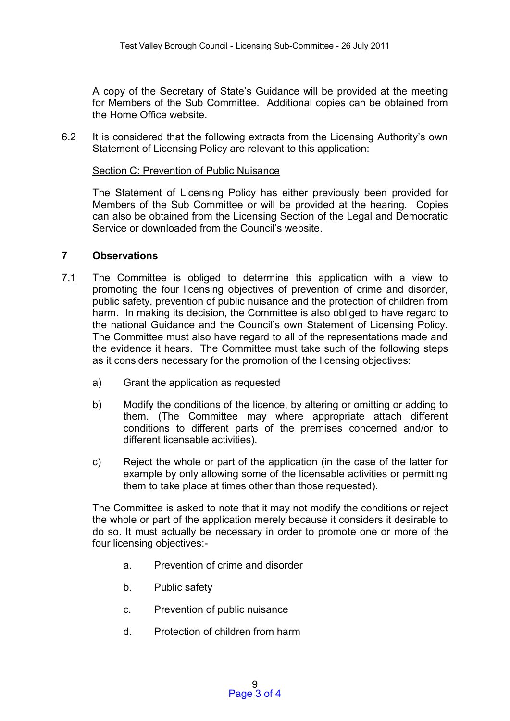A copy of the Secretary of State's Guidance will be provided at the meeting for Members of the Sub Committee. Additional copies can be obtained from the Home Office website.

6.2 It is considered that the following extracts from the Licensing Authority's own Statement of Licensing Policy are relevant to this application:

#### Section C: Prevention of Public Nuisance

The Statement of Licensing Policy has either previously been provided for Members of the Sub Committee or will be provided at the hearing. Copies can also be obtained from the Licensing Section of the Legal and Democratic Service or downloaded from the Council's website.

#### **7 Observations**

- 7.1 The Committee is obliged to determine this application with a view to promoting the four licensing objectives of prevention of crime and disorder, public safety, prevention of public nuisance and the protection of children from harm. In making its decision, the Committee is also obliged to have regard to the national Guidance and the Council's own Statement of Licensing Policy. The Committee must also have regard to all of the representations made and the evidence it hears. The Committee must take such of the following steps as it considers necessary for the promotion of the licensing objectives:
	- a) Grant the application as requested
	- b) Modify the conditions of the licence, by altering or omitting or adding to them. (The Committee may where appropriate attach different conditions to different parts of the premises concerned and/or to different licensable activities).
	- c) Reject the whole or part of the application (in the case of the latter for example by only allowing some of the licensable activities or permitting them to take place at times other than those requested).

The Committee is asked to note that it may not modify the conditions or reject the whole or part of the application merely because it considers it desirable to do so. It must actually be necessary in order to promote one or more of the four licensing objectives:-

- a. Prevention of crime and disorder
- b. Public safety
- c. Prevention of public nuisance
- d. Protection of children from harm